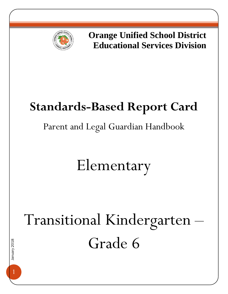

**Orange Unified School District Educational Services Division**

## **Standards-Based Report Card**

### Parent and Legal Guardian Handbook

## Elementary

# Transitional Kindergarten – Grade 6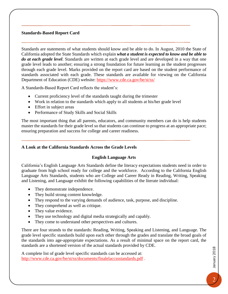#### **Standards-Based Report Card**

Standards are statements of what students should know and be able to do. In August, 2010 the State of California adopted the State Standards which explain *what a student is expected to know and be able to do at each grade level*. Standards are written at each grade level and are developed in a way that one grade level leads to another; ensuring a strong foundation for future learning as the student progresses through each grade level. Marks provided on the report card are based on the student performance of standards associated with each grade. These standards are available for viewing on the California Department of Education (CDE) website: <https://www.cde.ca.gov/be/st/ss/>

A Standards-Based Report Card reflects the student's:

- Current proficiency level of the standards taught during the trimester
- Work in relation to the standards which apply to all students at his/her grade level
- Effort in subject areas
- Performance of Study Skills and Social Skills

The most important thing that all parents, educators, and community members can do is help students master the standards for their grade level so that students can continue to progress at an appropriate pace; ensuring preparation and success for college and career readiness.

#### **A Look at the California Standards Across the Grade Levels**

#### **English Language Arts**

California's English Language Arts Standards define the literacy expectations students need in order to graduate from high school ready for college and the workforce. According to the California English Language Arts Standards, students who are College and Career Ready in Reading, Writing, Speaking and Listening, and Language exhibit the following capabilities of the literate individual:

- They demonstrate independence.
- They build strong content knowledge.
- They respond to the varying demands of audience, task, purpose, and discipline.
- They comprehend as well as critique.
- They value evidence.
- They use technology and digital media strategically and capably.
- They come to understand other perspectives and cultures.

There are four strands to the standards: Reading, Writing, Speaking and Listening, and Language. The grade level specific standards build upon each other through the grades and translate the broad goals of the standards into age-appropriate expectations. As a result of minimal space on the report card, the standards are a shortened version of the actual standards provided by CDE.

A complete list of grade level specific standards can be accessed at: <http://www.cde.ca.gov/be/st/ss/documents/finalelaccssstandards.pdf> .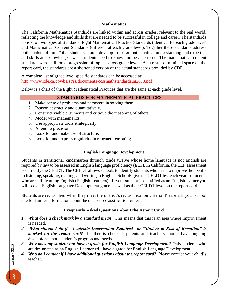#### **Mathematics**

The California Mathematics Standards are linked within and across grades, relevant to the real world, reflecting the knowledge and skills that are needed to be successful in college and career. The standards consist of two types of standards: Eight Mathematical Practice Standards (identical for each grade level) and Mathematical Content Standards (different at each grade level). Together these standards address both "habits of mind" that students should develop to foster mathematical understanding and expertise and skills and knowledge—what students need to know and be able to do. The mathematical content standards were built on a progression of topics across grade levels. As a result of minimal space on the report card, the standards are a shortened version of the actual standards provided by CDE.

A complete list of grade level specific standards can be accessed at: <http://www.cde.ca.gov/be/st/ss/documents/ccssmathstandardaug2013.pdf>

Below is a chart of the Eight Mathematical Practices that are the same at each grade level.

#### **STANDARDS FOR MATHEMATICAL PRACTICES**

- 1. Make sense of problems and persevere in solving them.
- 2. Reason abstractly and quantitatively.
- 3. Construct viable arguments and critique the reasoning of others.
- 4. Model with mathematics.
- 5. Use appropriate tools strategically.
- 6. Attend to precision.
- 7. Look for and make use of structure.
- 8. Look for and express regularity in repeated reasoning.

#### **English Language Development**

Students in transitional kindergarten through grade twelve whose home language is not English are required by law to be assessed in English language proficiency (ELP). In California, the ELP assessment is currently the CELDT. The CELDT allows schools to identify students who need to improve their skills in listening, speaking, reading, and writing in English. Schools give the CELDT test each year to students who are still learning English (English Learners). If your student is classified as an English learner you will see an English Language Development grade, as well as their CELDT level on the report card.

Students are reclassified when they meet the district's reclassification criteria. Please ask your school site for further information about the district reclassification criteria.

#### **Frequently Asked Questions About the Report Card**

- *1. What does a check mark by a standard mean?* This means that this is an area where improvement is needed.
- *2. What should I do if "Academic Intervention Required" or "Student at Risk of Retention" is marked on the report card?* If either is checked, parents and teachers should have ongoing discussions about student's progress and needs.
- *3. Why does my student not have a grade for English Language Development?* Only students who are designated as an English Learner will have a grade for English Language Development.
- 4. *Who do I contact if I have additional questions about the report card?* Please contact your child's teacher.

January 2018 3January 2018